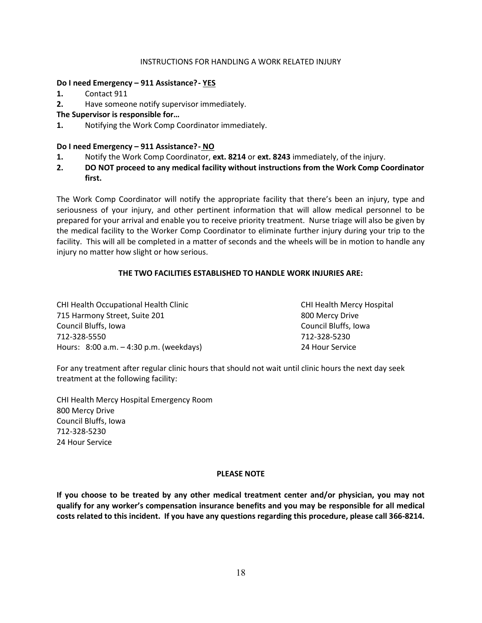#### INSTRUCTIONS FOR HANDLING A WORK RELATED INJURY

## Do I need Emergency - 911 Assistance? - YES

- 1. Contact 911
- 2. Have someone notify supervisor immediately.
- The Supervisor is responsible for…
- 1. Notifying the Work Comp Coordinator immediately.

### Do I need Emergency – 911 Assistance? - NO

- 1. Notify the Work Comp Coordinator, ext. 8214 or ext. 8243 immediately, of the injury.
- 2. DO NOT proceed to any medical facility without instructions from the Work Comp Coordinator first.

The Work Comp Coordinator will notify the appropriate facility that there's been an injury, type and seriousness of your injury, and other pertinent information that will allow medical personnel to be prepared for your arrival and enable you to receive priority treatment. Nurse triage will also be given by the medical facility to the Worker Comp Coordinator to eliminate further injury during your trip to the facility. This will all be completed in a matter of seconds and the wheels will be in motion to handle any injury no matter how slight or how serious.

## THE TWO FACILITIES ESTABLISHED TO HANDLE WORK INJURIES ARE:

CHI Health Occupational Health Clinic CHI Health Mercy Hospital 715 Harmony Street, Suite 201 800 Mercy Drive Council Bluffs, Iowa Council Bluffs, Iowa 712-328-5550 712-328-5230 Hours: 8:00 a.m. – 4:30 p.m. (weekdays) 24 Hour Service

For any treatment after regular clinic hours that should not wait until clinic hours the next day seek treatment at the following facility:

CHI Health Mercy Hospital Emergency Room 800 Mercy Drive Council Bluffs, Iowa 712-328-5230 24 Hour Service

#### PLEASE NOTE

If you choose to be treated by any other medical treatment center and/or physician, you may not qualify for any worker's compensation insurance benefits and you may be responsible for all medical costs related to this incident. If you have any questions regarding this procedure, please call 366-8214.